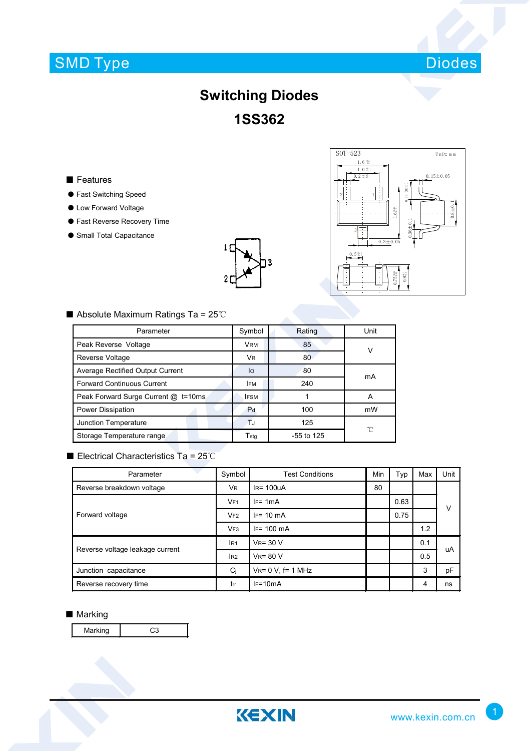# SMD Type



### **Switching Diodes 1SS362**

#### ■ Features

- Fast Switching Speed
- Low Forward Voltage
- Fast Reverse Recovery Time
- Small Total Capacitance





#### ■ Absolute Maximum Ratings Ta = 25℃

| Parameter                           | Symbol                      | Rating       | Unit |  |
|-------------------------------------|-----------------------------|--------------|------|--|
| Peak Reverse Voltage                | <b>VRM</b>                  | 85           | v    |  |
| Reverse Voltage                     | VR.                         | 80           |      |  |
| Average Rectified Output Current    | lo                          | 80           | mA   |  |
| <b>Forward Continuous Current</b>   | <b>IFM</b>                  | 240          |      |  |
| Peak Forward Surge Current @ t=10ms | <b>IFSM</b>                 |              | A    |  |
| Power Dissipation                   | P <sub>d</sub>              | 100          | mW   |  |
| Junction Temperature                | T.                          | 125          | ℃    |  |
| Storage Temperature range           | $\mathsf{T}_{\mathsf{std}}$ | $-55$ to 125 |      |  |

#### ■ Electrical Characteristics Ta = 25℃

| Parameter                       | Symbol              | <b>Test Conditions</b>   | Min | Typ  | Max | Unit |
|---------------------------------|---------------------|--------------------------|-----|------|-----|------|
| Reverse breakdown voltage       | VR.                 | $IR = 100UA$             | 80  |      |     |      |
| Forward voltage                 | VF1                 | $IF = 1mA$               |     | 0.63 |     | v    |
|                                 | VF2                 | $IF = 10 \text{ mA}$     |     | 0.75 |     |      |
|                                 | VF <sub>3</sub>     | $IF = 100 \text{ mA}$    |     |      | 1.2 |      |
| Reverse voltage leakage current | $V_R = 30 V$<br>IR1 |                          |     |      | 0.1 | uA   |
|                                 | I <sub>R2</sub>     | $V_R = 80 V$             |     |      | 0.5 |      |
| Junction capacitance            | Ci                  | $V_{R} = 0 V$ , f= 1 MHz |     |      | 3   | pF   |
| Reverse recovery time           | trr                 | $IF=10mA$                |     |      | 4   | ns   |

#### ■ Marking

Marking C3